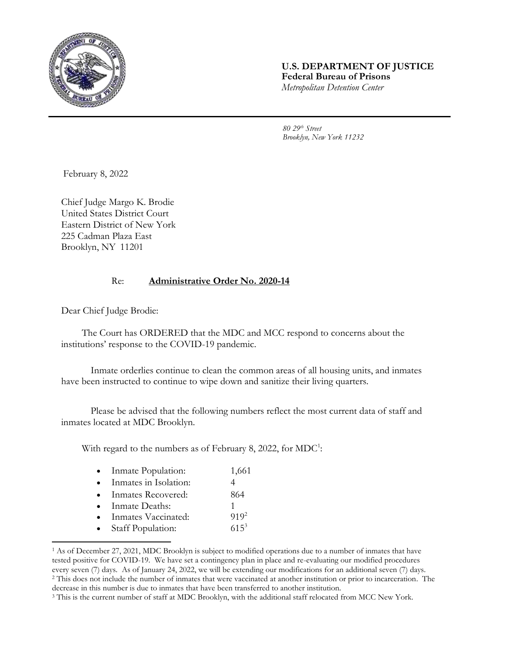

## **U.S. DEPARTMENT OF JUSTICE Federal Bureau of Prisons** *Metropolitan Detention Center*

*80 29th Street Brooklyn, New York 11232*

February 8, 2022

Chief Judge Margo K. Brodie United States District Court Eastern District of New York 225 Cadman Plaza East Brooklyn, NY 11201

## Re: **Administrative Order No. 2020-14**

Dear Chief Judge Brodie:

The Court has ORDERED that the MDC and MCC respond to concerns about the institutions' response to the COVID-19 pandemic.

Inmate orderlies continue to clean the common areas of all housing units, and inmates have been instructed to continue to wipe down and sanitize their living quarters.

Please be advised that the following numbers reflect the most current data of staff and inmates located at MDC Brooklyn.

With regard to the numbers as of February 8, 2022, for  $MDC^1$ :

| Inmate Population: | 1,661 |
|--------------------|-------|
|--------------------|-------|

- Inmates in Isolation: 4
- Inmates Recovered: 864
- Inmate Deaths: 1
- Inmates Vaccinated: 919<sup>2</sup>
- Staff Population: 615<sup>3</sup>

l

<sup>1</sup> As of December 27, 2021, MDC Brooklyn is subject to modified operations due to a number of inmates that have tested positive for COVID-19. We have set a contingency plan in place and re-evaluating our modified procedures every seven (7) days. As of January 24, 2022, we will be extending our modifications for an additional seven (7) days. <sup>2</sup> This does not include the number of inmates that were vaccinated at another institution or prior to incarceration. The decrease in this number is due to inmates that have been transferred to another institution.

<sup>&</sup>lt;sup>3</sup> This is the current number of staff at MDC Brooklyn, with the additional staff relocated from MCC New York.